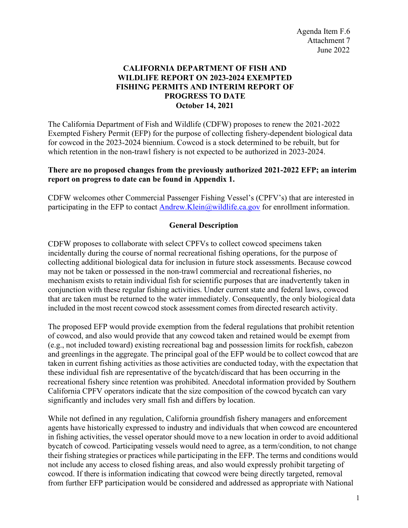# **CALIFORNIA DEPARTMENT OF FISH AND WILDLIFE REPORT ON 2023-2024 EXEMPTED FISHING PERMITS AND INTERIM REPORT OF PROGRESS TO DATE October 14, 2021**

The California Department of Fish and Wildlife (CDFW) proposes to renew the 2021-2022 Exempted Fishery Permit (EFP) for the purpose of collecting fishery-dependent biological data for cowcod in the 2023-2024 biennium. Cowcod is a stock determined to be rebuilt, but for which retention in the non-trawl fishery is not expected to be authorized in 2023-2024.

## **There are no proposed changes from the previously authorized 2021-2022 EFP; an interim report on progress to date can be found in Appendix 1.**

CDFW welcomes other Commercial Passenger Fishing Vessel's (CPFV's) that are interested in participating in the EFP to contact [Andrew.Klein@wildlife.ca.gov](mailto:Andrew.Klein@wildlife.ca.gov) for enrollment information.

# **General Description**

CDFW proposes to collaborate with select CPFVs to collect cowcod specimens taken incidentally during the course of normal recreational fishing operations, for the purpose of collecting additional biological data for inclusion in future stock assessments. Because cowcod may not be taken or possessed in the non-trawl commercial and recreational fisheries, no mechanism exists to retain individual fish for scientific purposes that are inadvertently taken in conjunction with these regular fishing activities. Under current state and federal laws, cowcod that are taken must be returned to the water immediately. Consequently, the only biological data included in the most recent cowcod stock assessment comes from directed research activity.

The proposed EFP would provide exemption from the federal regulations that prohibit retention of cowcod, and also would provide that any cowcod taken and retained would be exempt from (e.g., not included toward) existing recreational bag and possession limits for rockfish, cabezon and greenlings in the aggregate. The principal goal of the EFP would be to collect cowcod that are taken in current fishing activities as those activities are conducted today, with the expectation that these individual fish are representative of the bycatch/discard that has been occurring in the recreational fishery since retention was prohibited. Anecdotal information provided by Southern California CPFV operators indicate that the size composition of the cowcod bycatch can vary significantly and includes very small fish and differs by location.

While not defined in any regulation, California groundfish fishery managers and enforcement agents have historically expressed to industry and individuals that when cowcod are encountered in fishing activities, the vessel operator should move to a new location in order to avoid additional bycatch of cowcod. Participating vessels would need to agree, as a term/condition, to not change their fishing strategies or practices while participating in the EFP. The terms and conditions would not include any access to closed fishing areas, and also would expressly prohibit targeting of cowcod. If there is information indicating that cowcod were being directly targeted, removal from further EFP participation would be considered and addressed as appropriate with National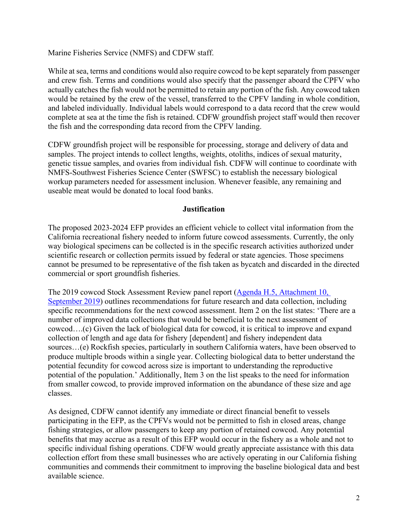Marine Fisheries Service (NMFS) and CDFW staff.

While at sea, terms and conditions would also require cowcod to be kept separately from passenger and crew fish. Terms and conditions would also specify that the passenger aboard the CPFV who actually catches the fish would not be permitted to retain any portion of the fish. Any cowcod taken would be retained by the crew of the vessel, transferred to the CPFV landing in whole condition, and labeled individually. Individual labels would correspond to a data record that the crew would complete at sea at the time the fish is retained. CDFW groundfish project staff would then recover the fish and the corresponding data record from the CPFV landing.

CDFW groundfish project will be responsible for processing, storage and delivery of data and samples. The project intends to collect lengths, weights, otoliths, indices of sexual maturity, genetic tissue samples, and ovaries from individual fish. CDFW will continue to coordinate with NMFS-Southwest Fisheries Science Center (SWFSC) to establish the necessary biological workup parameters needed for assessment inclusion. Whenever feasible, any remaining and useable meat would be donated to local food banks.

### **Justification**

The proposed 2023-2024 EFP provides an efficient vehicle to collect vital information from the California recreational fishery needed to inform future cowcod assessments. Currently, the only way biological specimens can be collected is in the specific research activities authorized under scientific research or collection permits issued by federal or state agencies. Those specimens cannot be presumed to be representative of the fish taken as bycatch and discarded in the directed commercial or sport groundfish fisheries.

The 2019 cowcod Stock Assessment Review panel report [\(Agenda H.5, Attachment 10,](https://www.pcouncil.org/documents/2019/09/agenda-item-h-5-attachment-10.pdf/)  [September 2019\)](https://www.pcouncil.org/documents/2019/09/agenda-item-h-5-attachment-10.pdf/) outlines recommendations for future research and data collection, including specific recommendations for the next cowcod assessment. Item 2 on the list states: 'There are a number of improved data collections that would be beneficial to the next assessment of cowcod….(c) Given the lack of biological data for cowcod, it is critical to improve and expand collection of length and age data for fishery [dependent] and fishery independent data sources…(e) Rockfish species, particularly in southern California waters, have been observed to produce multiple broods within a single year. Collecting biological data to better understand the potential fecundity for cowcod across size is important to understanding the reproductive potential of the population.' Additionally, Item 3 on the list speaks to the need for information from smaller cowcod, to provide improved information on the abundance of these size and age classes.

As designed, CDFW cannot identify any immediate or direct financial benefit to vessels participating in the EFP, as the CPFVs would not be permitted to fish in closed areas, change fishing strategies, or allow passengers to keep any portion of retained cowcod. Any potential benefits that may accrue as a result of this EFP would occur in the fishery as a whole and not to specific individual fishing operations. CDFW would greatly appreciate assistance with this data collection effort from these small businesses who are actively operating in our California fishing communities and commends their commitment to improving the baseline biological data and best available science.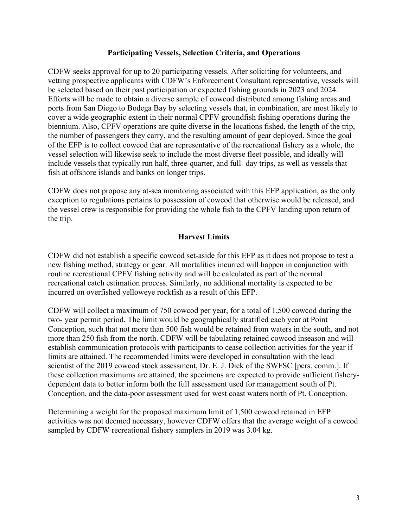### **Participating Vessels, Selection Criteria, and Operations**

CDFW seeks approval for up to 20 participating vessels. After soliciting for volunteers, and vetting prospective applicants with CDFW's Enforcement Consultant representative, vessels will be selected based on their past participation or expected fishing grounds in 2023 and 2024. Efforts will be made to obtain a diverse sample of cowcod distributed among fishing areas and ports from San Diego to Bodega Bay by selecting vessels that, in combination, are most likely to cover a wide geographic extent in their normal CPFV groundfish fishing operations during the biennium. Also, CPFV operations are quite diverse in the locations fished, the length of the trip, the number of passengers they carry, and the resulting amount of gear deployed. Since the goal of the EFP is to collect cowcod that are representative of the recreational fishery as a whole, the vessel selection will likewise seek to include the most diverse fleet possible, and ideally will include vessels that typically run half, three-quarter, and full- day trips, as well as vessels that fish at offshore islands and banks on longer trips.

CDFW does not propose any at-sea monitoring associated with this EFP application, as the only exception to regulations pertains to possession of cowcod that otherwise would be released, and the vessel crew is responsible for providing the whole fish to the CPFV landing upon return of the trip.

### **Harvest Limits**

CDFW did not establish a specific cowcod set-aside for this EFP as it does not propose to test a new fishing method, strategy or gear. All mortalities incurred will happen in conjunction with routine recreational CPFV fishing activity and will be calculated as part of the normal recreational catch estimation process. Similarly, no additional mortality is expected to be incurred on overfished yelloweye rockfish as a result of this EFP.

CDFW will collect a maximum of 750 cowcod per year, for a total of 1,500 cowcod during the two- year permit period. The limit would be geographically stratified each year at Point Conception, such that not more than 500 fish would be retained from waters in the south, and not more than 250 fish from the north. CDFW will be tabulating retained cowcod inseason and will establish communication protocols with participants to cease collection activities for the year if limits are attained. The recommended limits were developed in consultation with the lead scientist of the 2019 cowcod stock assessment, Dr. E. J. Dick of the SWFSC [pers. comm.]. If these collection maximums are attained, the specimens are expected to provide sufficient fisherydependent data to better inform both the full assessment used for management south of Pt. Conception, and the data-poor assessment used for west coast waters north of Pt. Conception.

Determining a weight for the proposed maximum limit of 1,500 cowcod retained in EFP activities was not deemed necessary, however CDFW offers that the average weight of a cowcod sampled by CDFW recreational fishery samplers in 2019 was 3.04 kg.